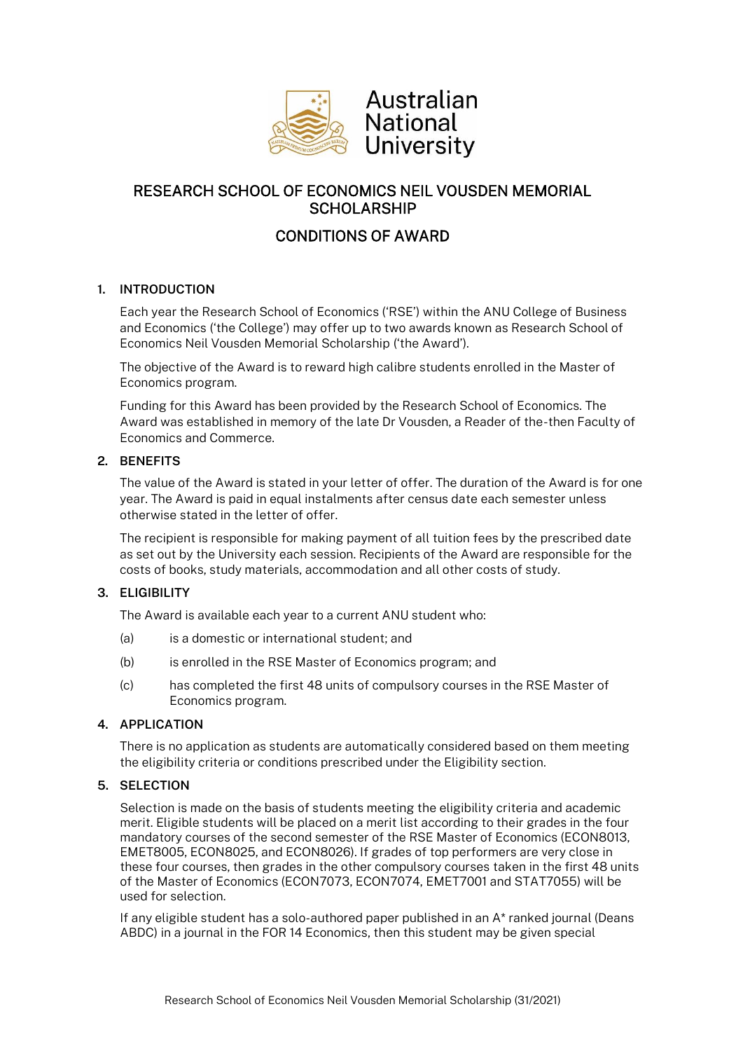

# RESEARCH SCHOOL OF ECONOMICS NEIL VOUSDEN MEMORIAL **SCHOLARSHIP**

# CONDITIONS OF AWARD

# **1. INTRODUCTION**

Each year the Research School of Economics ('RSE') within the ANU College of Business and Economics ('the College') may offer up to two awards known as Research School of Economics Neil Vousden Memorial Scholarship ('the Award').

The objective of the Award is to reward high calibre students enrolled in the Master of Economics program.

Funding for this Award has been provided by the Research School of Economics. The Award was established in memory of the late Dr Vousden, a Reader of the-then Faculty of Economics and Commerce.

## **2. BENEFITS**

The value of the Award is stated in your letter of offer. The duration of the Award is for one year. The Award is paid in equal instalments after census date each semester unless otherwise stated in the letter of offer.

The recipient is responsible for making payment of all tuition fees by the prescribed date as set out by the University each session. Recipients of the Award are responsible for the costs of books, study materials, accommodation and all other costs of study.

# **3. ELIGIBILITY**

The Award is available each year to a current ANU student who:

- (a) is a domestic or international student; and
- (b) is enrolled in the RSE Master of Economics program; and
- (c) has completed the first 48 units of compulsory courses in the RSE Master of Economics program.

# **4. APPLICATION**

There is no application as students are automatically considered based on them meeting the eligibility criteria or conditions prescribed under the Eligibility section.

# **5. SELECTION**

Selection is made on the basis of students meeting the eligibility criteria and academic merit. Eligible students will be placed on a merit list according to their grades in the four mandatory courses of the second semester of the RSE Master of Economics (ECON8013, EMET8005, ECON8025, and ECON8026). If grades of top performers are very close in these four courses, then grades in the other compulsory courses taken in the first 48 units of the Master of Economics (ECON7073, ECON7074, EMET7001 and STAT7055) will be used for selection.

If any eligible student has a solo-authored paper published in an A\* ranked journal (Deans ABDC) in a journal in the FOR 14 Economics, then this student may be given special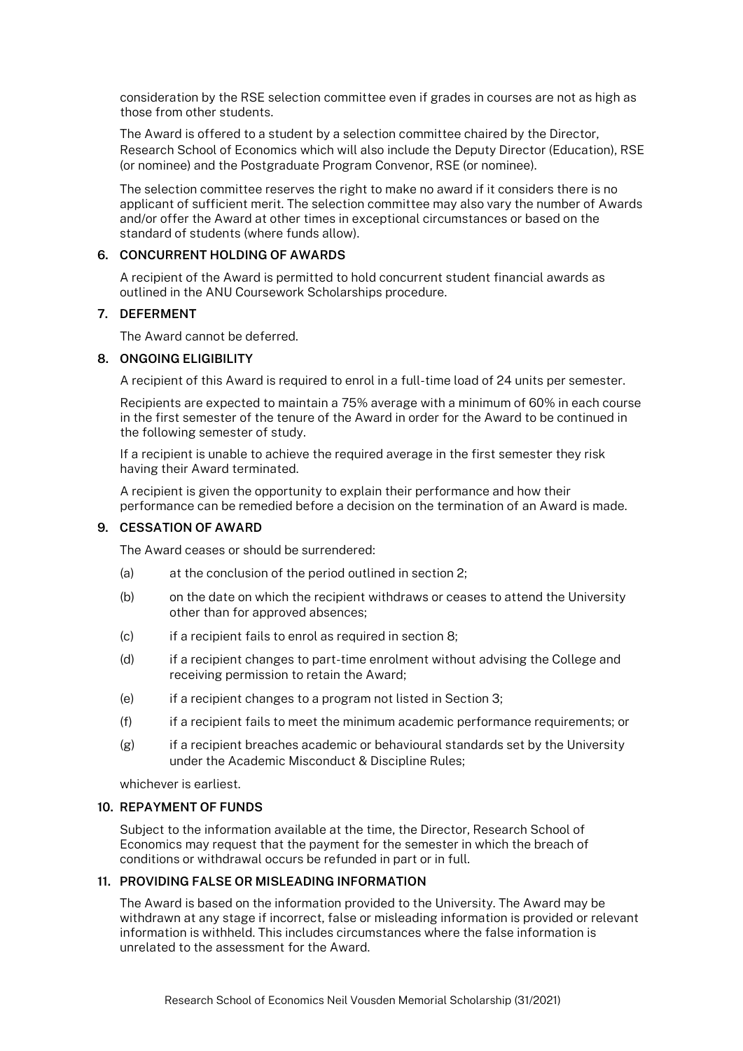consideration by the RSE selection committee even if grades in courses are not as high as those from other students.

The Award is offered to a student by a selection committee chaired by the Director, Research School of Economics which will also include the Deputy Director (Education), RSE (or nominee) and the Postgraduate Program Convenor, RSE (or nominee).

The selection committee reserves the right to make no award if it considers there is no applicant of sufficient merit. The selection committee may also vary the number of Awards and/or offer the Award at other times in exceptional circumstances or based on the standard of students (where funds allow).

#### **6. CONCURRENT HOLDING OF AWARDS**

A recipient of the Award is permitted to hold concurrent student financial awards as outlined in the ANU Coursework Scholarships procedure.

#### **7. DEFERMENT**

The Award cannot be deferred.

#### **8. ONGOING ELIGIBILITY**

A recipient of this Award is required to enrol in a full-time load of 24 units per semester.

Recipients are expected to maintain a 75% average with a minimum of 60% in each course in the first semester of the tenure of the Award in order for the Award to be continued in the following semester of study.

If a recipient is unable to achieve the required average in the first semester they risk having their Award terminated.

A recipient is given the opportunity to explain their performance and how their performance can be remedied before a decision on the termination of an Award is made.

### **9. CESSATION OF AWARD**

The Award ceases or should be surrendered:

- (a) at the conclusion of the period outlined in section 2;
- (b) on the date on which the recipient withdraws or ceases to attend the University other than for approved absences;
- (c) if a recipient fails to enrol as required in section 8;
- (d) if a recipient changes to part-time enrolment without advising the College and receiving permission to retain the Award;
- (e) if a recipient changes to a program not listed in Section 3;
- (f) if a recipient fails to meet the minimum academic performance requirements; or
- (g) if a recipient breaches academic or behavioural standards set by the University under the Academic Misconduct & Discipline Rules;

whichever is earliest.

#### **10. REPAYMENT OF FUNDS**

Subject to the information available at the time, the Director, Research School of Economics may request that the payment for the semester in which the breach of conditions or withdrawal occurs be refunded in part or in full.

#### **11. PROVIDING FALSE OR MISLEADING INFORMATION**

The Award is based on the information provided to the University. The Award may be withdrawn at any stage if incorrect, false or misleading information is provided or relevant information is withheld. This includes circumstances where the false information is unrelated to the assessment for the Award.